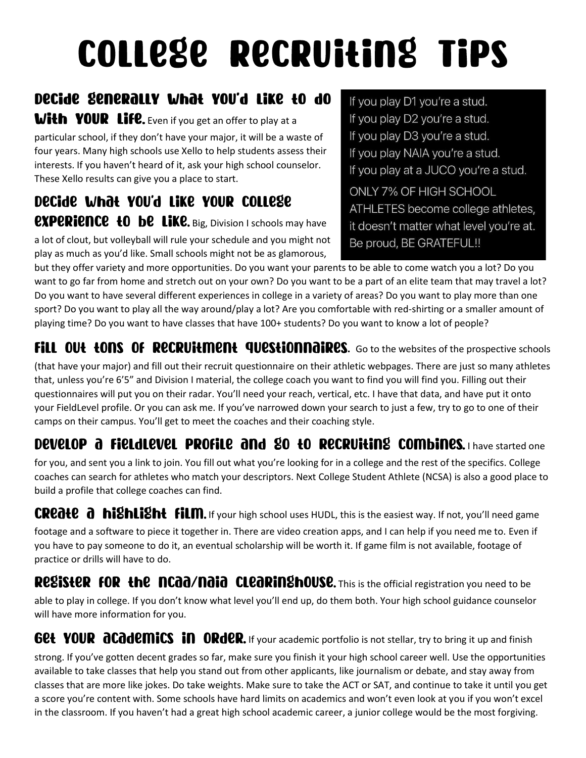# **COLLESE RECRUILINS TIPS**

### Decide Senerally What YOU'd Like to do

**With YOUR Life.** Even if you get an offer to play at a particular school, if they don't have your major, it will be a waste of four years. Many high schools use Xello to help students assess their interests. If you haven't heard of it, ask your high school counselor. These Xello results can give you a place to start.

Decide What YOU'd Like YOUR COLLESE **EXPERIENCE +0 be LIKE.** Big, Division I schools may have a lot of clout, but volleyball will rule your schedule and you might not play as much as you'd like. Small schools might not be as glamorous,

If you play D1 you're a stud. If you play D2 you're a stud. If you play D3 you're a stud. If you play NAIA you're a stud. If you play at a JUCO you're a stud. ONLY 7% OF HIGH SCHOOL ATHLETES become college athletes, it doesn't matter what level you're at. Be proud, BE GRATEFUL!!

but they offer variety and more opportunities. Do you want your parents to be able to come watch you a lot? Do you want to go far from home and stretch out on your own? Do you want to be a part of an elite team that may travel a lot? Do you want to have several different experiences in college in a variety of areas? Do you want to play more than one sport? Do you want to play all the way around/play a lot? Are you comfortable with red-shirting or a smaller amount of playing time? Do you want to have classes that have 100+ students? Do you want to know a lot of people?

FILL OU<del>L LONS OF RECRUILMENL QUESLIONNOIRES.</del> Go to the websites of the prospective schools

(that have your major) and fill out their recruit questionnaire on their athletic webpages. There are just so many athletes that, unless you're 6'5" and Division I material, the college coach you want to find you will find you. Filling out their questionnaires will put you on their radar. You'll need your reach, vertical, etc. I have that data, and have put it onto your FieldLevel profile. Or you can ask me. If you've narrowed down your search to just a few, try to go to one of their camps on their campus. You'll get to meet the coaches and their coaching style.

#### **DEVELOP @ FIELdLEVEL PROFILE @Nd \$0 tO RECRUItINS COMbines.** I have started one

for you, and sent you a link to join. You fill out what you're looking for in a college and the rest of the specifics. College coaches can search for athletes who match your descriptors. Next College Student Athlete (NCSA) is also a good place to build a profile that college coaches can find.

CREOLE a highlight film. If your high school uses HUDL, this is the easiest way. If not, you'll need game

footage and a software to piece it together in. There are video creation apps, and I can help if you need me to. Even if you have to pay someone to do it, an eventual scholarship will be worth it. If game film is not available, footage of practice or drills will have to do.

#### RegisteR foR the ncaa/naia clearinghouse. This is the official registration you need to be

able to play in college. If you don't know what level you'll end up, do them both. Your high school guidance counselor will have more information for you.

**GEL YOUR ACADEMICS IN ORDER.** If your academic portfolio is not stellar, try to bring it up and finish

strong. If you've gotten decent grades so far, make sure you finish it your high school career well. Use the opportunities available to take classes that help you stand out from other applicants, like journalism or debate, and stay away from classes that are more like jokes. Do take weights. Make sure to take the ACT or SAT, and continue to take it until you get a score you're content with. Some schools have hard limits on academics and won't even look at you if you won't excel in the classroom. If you haven't had a great high school academic career, a junior college would be the most forgiving.